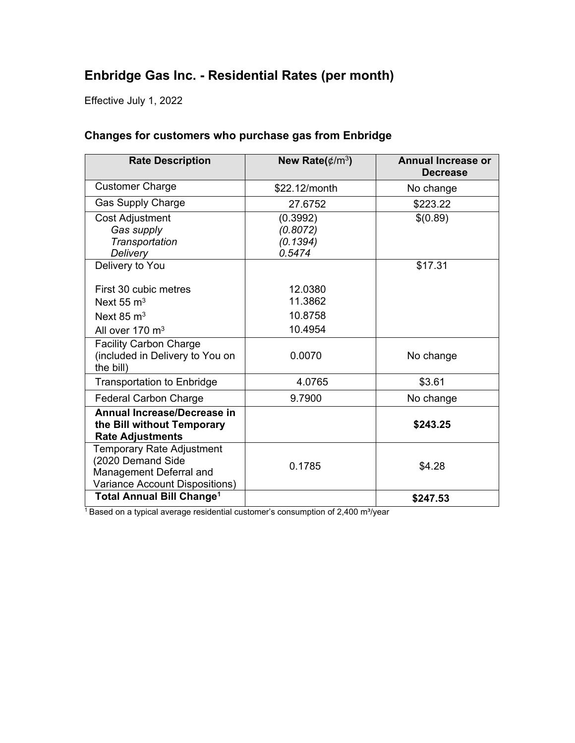# **Enbridge Gas Inc. - Residential Rates (per month)**

Effective July 1, 2022

### **Changes for customers who purchase gas from Enbridge**

| <b>Rate Description</b>                                          | New Rate( $\phi/m^3$ ) | <b>Annual Increase or</b><br><b>Decrease</b> |
|------------------------------------------------------------------|------------------------|----------------------------------------------|
| <b>Customer Charge</b>                                           | \$22.12/month          | No change                                    |
| <b>Gas Supply Charge</b>                                         | 27.6752                | \$223.22                                     |
| <b>Cost Adjustment</b>                                           | (0.3992)               | \$(0.89)                                     |
| Gas supply                                                       | (0.8072)               |                                              |
| Transportation                                                   | (0.1394)               |                                              |
| <b>Delivery</b>                                                  | 0.5474                 |                                              |
| Delivery to You                                                  |                        | \$17.31                                      |
| First 30 cubic metres                                            | 12.0380                |                                              |
| Next 55 $m3$                                                     | 11.3862                |                                              |
| Next 85 $\mathrm{m}^3$                                           | 10.8758                |                                              |
| All over 170 m <sup>3</sup>                                      | 10.4954                |                                              |
| <b>Facility Carbon Charge</b><br>(included in Delivery to You on | 0.0070                 | No change                                    |
| the bill)                                                        |                        |                                              |
| <b>Transportation to Enbridge</b>                                | 4.0765                 | \$3.61                                       |
| <b>Federal Carbon Charge</b>                                     | 9.7900                 | No change                                    |
| <b>Annual Increase/Decrease in</b>                               |                        |                                              |
| the Bill without Temporary                                       |                        | \$243.25                                     |
| <b>Rate Adjustments</b>                                          |                        |                                              |
| Temporary Rate Adjustment                                        |                        |                                              |
| (2020 Demand Side                                                | 0.1785                 | \$4.28                                       |
| Management Deferral and                                          |                        |                                              |
| Variance Account Dispositions)                                   |                        |                                              |
| <b>Total Annual Bill Change<sup>1</sup></b>                      |                        | \$247.53                                     |

<sup>1</sup>Based on a typical average residential customer's consumption of 2,400 m<sup>3</sup>/year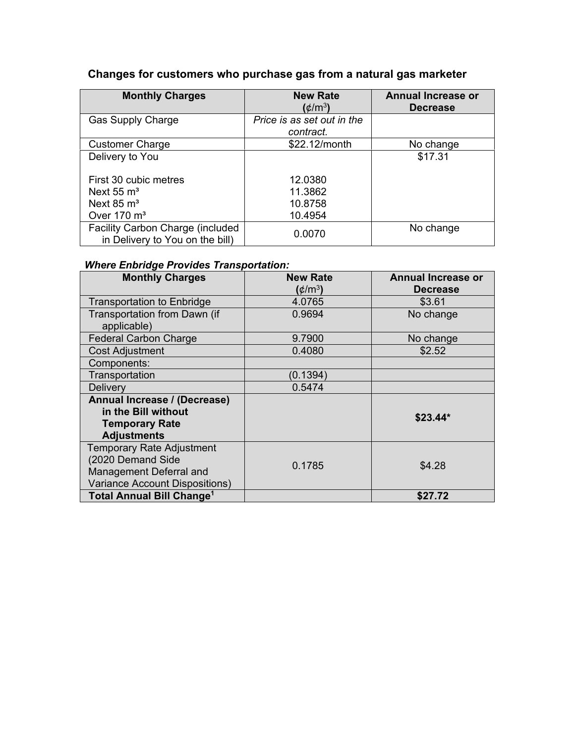## **Changes for customers who purchase gas from a natural gas marketer**

| <b>Monthly Charges</b>                                              | <b>New Rate</b><br>(¢/m $^3$ )          | <b>Annual Increase or</b><br><b>Decrease</b> |
|---------------------------------------------------------------------|-----------------------------------------|----------------------------------------------|
| <b>Gas Supply Charge</b>                                            | Price is as set out in the<br>contract. |                                              |
| <b>Customer Charge</b>                                              | \$22.12/month                           | No change                                    |
| Delivery to You                                                     |                                         | \$17.31                                      |
| First 30 cubic metres                                               | 12.0380                                 |                                              |
| Next $55 \text{ m}^3$                                               | 11.3862                                 |                                              |
| Next $85 \text{ m}^3$                                               | 10.8758                                 |                                              |
| Over $170 \text{ m}^3$                                              | 10.4954                                 |                                              |
| Facility Carbon Charge (included<br>in Delivery to You on the bill) | 0.0070                                  | No change                                    |

## *Where Enbridge Provides Transportation:*

| <b>Monthly Charges</b>                                                                                      | <b>New Rate</b><br>(¢/m $^3$ ) | <b>Annual Increase or</b><br><b>Decrease</b> |
|-------------------------------------------------------------------------------------------------------------|--------------------------------|----------------------------------------------|
| <b>Transportation to Enbridge</b>                                                                           | 4.0765                         | \$3.61                                       |
| Transportation from Dawn (if<br>applicable)                                                                 | 0.9694                         | No change                                    |
| <b>Federal Carbon Charge</b>                                                                                | 9.7900                         | No change                                    |
| <b>Cost Adjustment</b>                                                                                      | 0.4080                         | \$2.52                                       |
| Components:                                                                                                 |                                |                                              |
| Transportation                                                                                              | (0.1394)                       |                                              |
| Delivery                                                                                                    | 0.5474                         |                                              |
| Annual Increase / (Decrease)<br>in the Bill without<br><b>Temporary Rate</b><br><b>Adjustments</b>          |                                | $$23.44*$                                    |
| Temporary Rate Adjustment<br>(2020 Demand Side<br>Management Deferral and<br>Variance Account Dispositions) | 0.1785                         | \$4.28                                       |
| <b>Total Annual Bill Change<sup>1</sup></b>                                                                 |                                | \$27.72                                      |